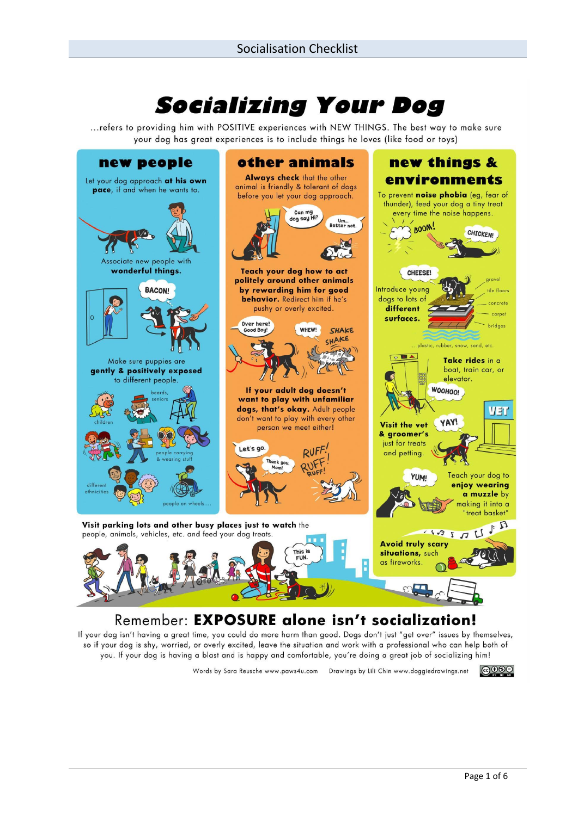# **Socializing Your Dog**

... refers to providing him with POSITIVE experiences with NEW THINGS. The best way to make sure your dog has great experiences is to include things he loves (like food or toys)



If your dog isn't having a great time, you could do more harm than good. Dogs don't just "get over" issues by themselves, so if your dog is shy, worried, or overly excited, leave the situation and work with a professional who can help both of you. If your dog is having a blast and is happy and comfortable, you're doing a great job of socializing him!

Words by Sara Reusche www.paws4u.com Drawings by Lili Chin www.doggiedrawings.net

|ල0®ම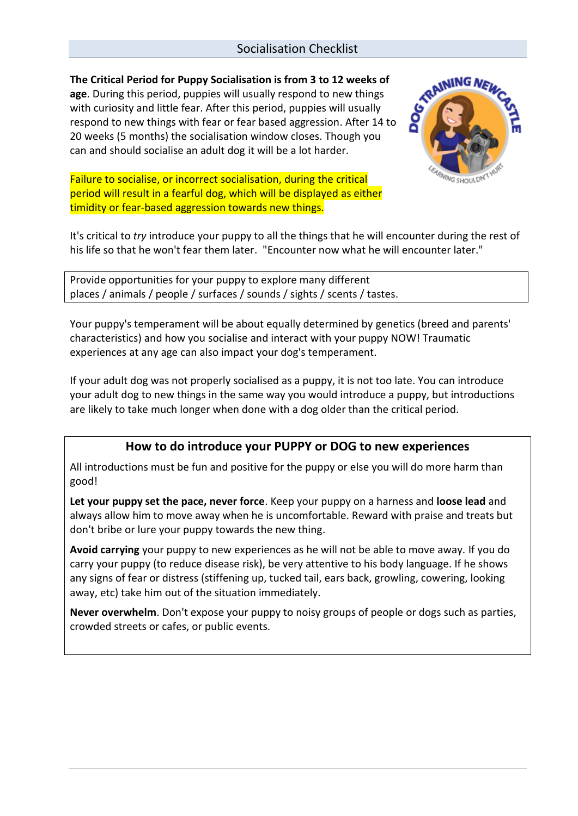### Socialisation Checklist

**The Critical Period for Puppy Socialisation is from 3 to 12 weeks of age**. During this period, puppies will usually respond to new things with curiosity and little fear. After this period, puppies will usually respond to new things with fear or fear based aggression. After 14 to 20 weeks (5 months) the socialisation window closes. Though you can and should socialise an adult dog it will be a lot harder.

Failure to socialise, or incorrect socialisation, during the critical period will result in a fearful dog, which will be displayed as either timidity or fear-based aggression towards new things.



It's critical to *try* introduce your puppy to all the things that he will encounter during the rest of his life so that he won't fear them later. "Encounter now what he will encounter later."

Provide opportunities for your puppy to explore many different places / animals / people / surfaces / sounds / sights / scents / tastes.

Your puppy's temperament will be about equally determined by genetics (breed and parents' characteristics) and how you socialise and interact with your puppy NOW! Traumatic experiences at any age can also impact your dog's temperament.

If your adult dog was not properly socialised as a puppy, it is not too late. You can introduce your adult dog to new things in the same way you would introduce a puppy, but introductions are likely to take much longer when done with a dog older than the critical period.

## **How to do introduce your PUPPY or DOG to new experiences**

All introductions must be fun and positive for the puppy or else you will do more harm than good!

**Let your puppy set the pace, never force**. Keep your puppy on a harness and **loose lead** and always allow him to move away when he is uncomfortable. Reward with praise and treats but don't bribe or lure your puppy towards the new thing.

**Avoid carrying** your puppy to new experiences as he will not be able to move away. If you do carry your puppy (to reduce disease risk), be very attentive to his body language. If he shows any signs of fear or distress (stiffening up, tucked tail, ears back, growling, cowering, looking away, etc) take him out of the situation immediately.

**Never overwhelm**. Don't expose your puppy to noisy groups of people or dogs such as parties, crowded streets or cafes, or public events.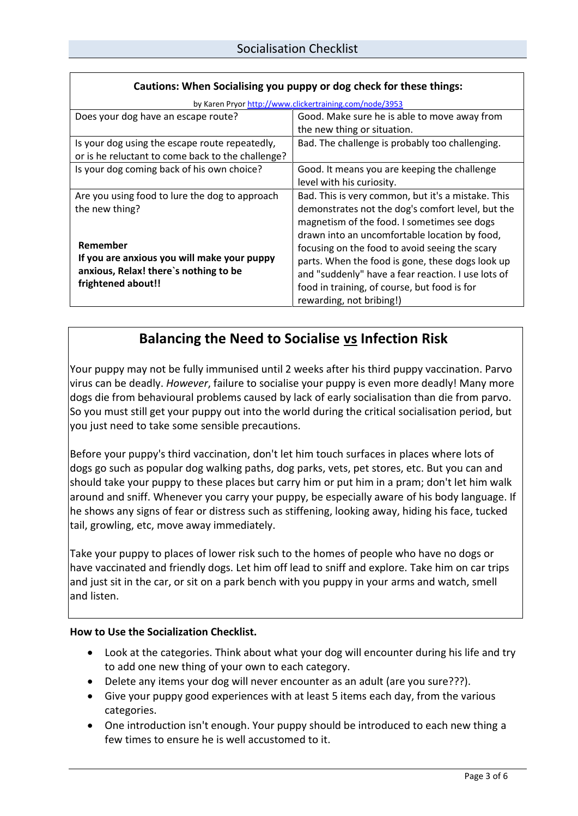| by Karen Pryor http://www.clickertraining.com/node/3953                                                    |                                                    |  |
|------------------------------------------------------------------------------------------------------------|----------------------------------------------------|--|
| Does your dog have an escape route?                                                                        | Good. Make sure he is able to move away from       |  |
|                                                                                                            | the new thing or situation.                        |  |
| Is your dog using the escape route repeatedly,                                                             | Bad. The challenge is probably too challenging.    |  |
| or is he reluctant to come back to the challenge?                                                          |                                                    |  |
| Is your dog coming back of his own choice?                                                                 | Good. It means you are keeping the challenge       |  |
|                                                                                                            | level with his curiosity.                          |  |
| Are you using food to lure the dog to approach                                                             | Bad. This is very common, but it's a mistake. This |  |
| the new thing?                                                                                             | demonstrates not the dog's comfort level, but the  |  |
|                                                                                                            | magnetism of the food. I sometimes see dogs        |  |
|                                                                                                            | drawn into an uncomfortable location by food,      |  |
| Remember                                                                                                   | focusing on the food to avoid seeing the scary     |  |
| If you are anxious you will make your puppy<br>anxious, Relax! there's nothing to be<br>frightened about!! | parts. When the food is gone, these dogs look up   |  |
|                                                                                                            | and "suddenly" have a fear reaction. I use lots of |  |
|                                                                                                            | food in training, of course, but food is for       |  |
|                                                                                                            | rewarding, not bribing!)                           |  |

### **Cautions: When Socialising you puppy or dog check for these things:**

# **Balancing the Need to Socialise vs Infection Risk**

Your puppy may not be fully immunised until 2 weeks after his third puppy vaccination. Parvo virus can be deadly. *However*, failure to socialise your puppy is even more deadly! Many more dogs die from behavioural problems caused by lack of early socialisation than die from parvo. So you must still get your puppy out into the world during the critical socialisation period, but you just need to take some sensible precautions.

Before your puppy's third vaccination, don't let him touch surfaces in places where lots of dogs go such as popular dog walking paths, dog parks, vets, pet stores, etc. But you can and should take your puppy to these places but carry him or put him in a pram; don't let him walk around and sniff. Whenever you carry your puppy, be especially aware of his body language. If he shows any signs of fear or distress such as stiffening, looking away, hiding his face, tucked tail, growling, etc, move away immediately.

Take your puppy to places of lower risk such to the homes of people who have no dogs or have vaccinated and friendly dogs. Let him off lead to sniff and explore. Take him on car trips and just sit in the car, or sit on a park bench with you puppy in your arms and watch, smell and listen.

#### **How to Use the Socialization Checklist.**

- Look at the categories. Think about what your dog will encounter during his life and try to add one new thing of your own to each category.
- Delete any items your dog will never encounter as an adult (are you sure???).
- Give your puppy good experiences with at least 5 items each day, from the various categories.
- One introduction isn't enough. Your puppy should be introduced to each new thing a few times to ensure he is well accustomed to it.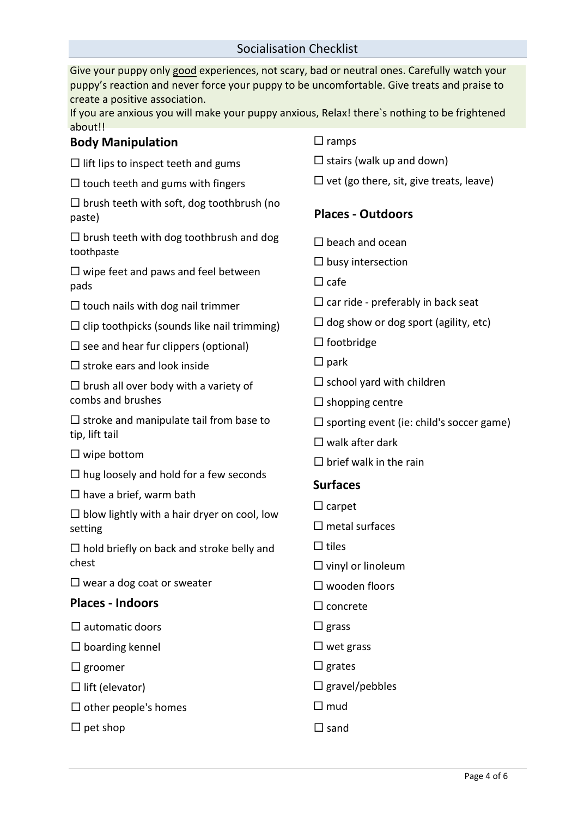### Socialisation Checklist

Give your puppy only good experiences, not scary, bad or neutral ones. Carefully watch your puppy's reaction and never force your puppy to be uncomfortable. Give treats and praise to create a positive association. If you are anxious you will make your puppy anxious, Relax! there`s nothing to be frightened

| about!!                                                                                         |                                                    |  |
|-------------------------------------------------------------------------------------------------|----------------------------------------------------|--|
| <b>Body Manipulation</b>                                                                        | $\Box$ ramps                                       |  |
| $\Box$ lift lips to inspect teeth and gums                                                      | $\Box$ stairs (walk up and down)                   |  |
| $\Box$ touch teeth and gums with fingers                                                        | $\Box$ vet (go there, sit, give treats, leave)     |  |
| $\Box$ brush teeth with soft, dog toothbrush (no<br>paste)                                      | <b>Places - Outdoors</b>                           |  |
| $\Box$ brush teeth with dog toothbrush and dog<br>toothpaste                                    | $\Box$ beach and ocean                             |  |
| $\Box$ wipe feet and paws and feel between<br>pads                                              | $\Box$ busy intersection<br>$\Box$ cafe            |  |
| $\Box$ touch nails with dog nail trimmer                                                        | $\Box$ car ride - preferably in back seat          |  |
| $\Box$ clip toothpicks (sounds like nail trimming)                                              | $\Box$ dog show or dog sport (agility, etc)        |  |
| $\square$ see and hear fur clippers (optional)                                                  | $\Box$ footbridge                                  |  |
| $\Box$ stroke ears and look inside                                                              | $\square$ park                                     |  |
| $\Box$ brush all over body with a variety of<br>combs and brushes                               | $\Box$ school yard with children                   |  |
|                                                                                                 | $\Box$ shopping centre                             |  |
| $\Box$ stroke and manipulate tail from base to<br>tip, lift tail                                | $\square$ sporting event (ie: child's soccer game) |  |
|                                                                                                 | $\Box$ walk after dark                             |  |
| $\Box$ wipe bottom                                                                              | $\Box$ brief walk in the rain                      |  |
| $\Box$ hug loosely and hold for a few seconds                                                   | <b>Surfaces</b>                                    |  |
| $\Box$ have a brief, warm bath<br>$\Box$ blow lightly with a hair dryer on cool, low<br>setting | $\Box$ carpet                                      |  |
|                                                                                                 | $\Box$ metal surfaces                              |  |
| $\Box$ hold briefly on back and stroke belly and                                                | $\Box$ tiles                                       |  |
| chest                                                                                           | $\square$ vinyl or linoleum                        |  |
| $\Box$ wear a dog coat or sweater                                                               | $\square$ wooden floors                            |  |
| <b>Places - Indoors</b>                                                                         | $\Box$ concrete                                    |  |
| $\square$ automatic doors                                                                       | $\square$ grass                                    |  |
| $\Box$ boarding kennel                                                                          | $\Box$ wet grass                                   |  |
| $\Box$ groomer                                                                                  | $\square$ grates                                   |  |
| $\Box$ lift (elevator)                                                                          | $\Box$ gravel/pebbles                              |  |
| $\Box$ other people's homes                                                                     | $\square$ mud                                      |  |
| $\Box$ pet shop                                                                                 | $\square$ sand                                     |  |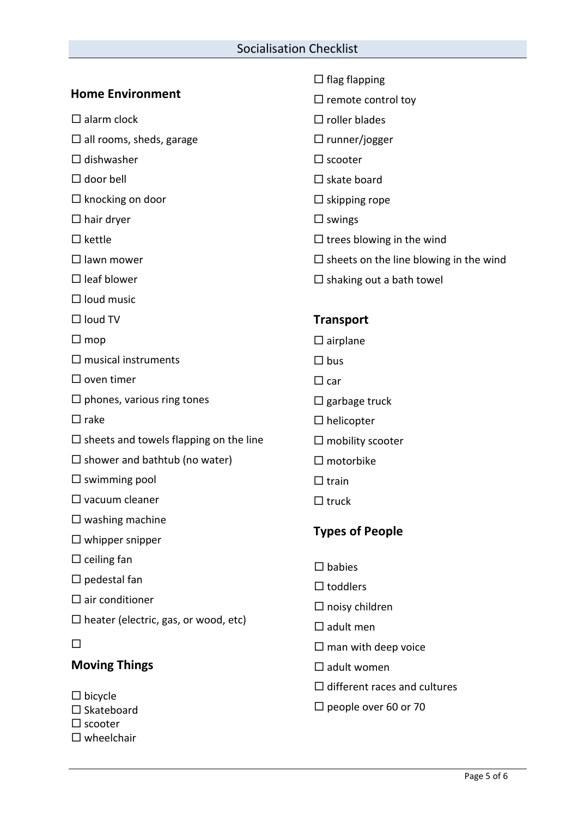|                                                                               | $\Box$ flag flapping                             |  |
|-------------------------------------------------------------------------------|--------------------------------------------------|--|
| <b>Home Environment</b>                                                       | $\Box$ remote control toy                        |  |
| $\square$ alarm clock                                                         | $\Box$ roller blades                             |  |
| $\Box$ all rooms, sheds, garage                                               | $\Box$ runner/jogger                             |  |
| $\Box$ dishwasher                                                             | $\Box$ scooter                                   |  |
| $\Box$ door bell                                                              | $\Box$ skate board                               |  |
| $\Box$ knocking on door                                                       | $\Box$ skipping rope                             |  |
| $\Box$ hair dryer                                                             | $\Box$ swings                                    |  |
| $\Box$ kettle                                                                 | $\Box$ trees blowing in the wind                 |  |
| $\Box$ lawn mower                                                             | $\square$ sheets on the line blowing in the wind |  |
| $\Box$ leaf blower                                                            | $\Box$ shaking out a bath towel                  |  |
| $\Box$ loud music                                                             |                                                  |  |
| $\Box$ loud TV                                                                | <b>Transport</b>                                 |  |
| $\square$ mop                                                                 | $\square$ airplane                               |  |
| $\square$ musical instruments                                                 | $\Box$ bus                                       |  |
| $\Box$ oven timer                                                             | $\Box$ car                                       |  |
| $\Box$ phones, various ring tones                                             | $\Box$ garbage truck                             |  |
| $\square$ rake                                                                | $\Box$ helicopter                                |  |
| $\Box$ sheets and towels flapping on the line                                 | $\Box$ mobility scooter                          |  |
| $\square$ shower and bathtub (no water)                                       | $\Box$ motorbike                                 |  |
| $\Box$ swimming pool                                                          | $\Box$ train                                     |  |
| $\Box$ vacuum cleaner                                                         | $\Box$ truck                                     |  |
| $\Box$ washing machine                                                        |                                                  |  |
| $\Box$ whipper snipper                                                        | <b>Types of People</b>                           |  |
| $\Box$ ceiling fan                                                            | $\Box$ babies                                    |  |
| $\square$ pedestal fan                                                        | $\Box$ toddlers                                  |  |
| $\square$ air conditioner                                                     | $\Box$ noisy children                            |  |
| $\Box$ heater (electric, gas, or wood, etc)                                   | $\Box$ adult men                                 |  |
| □                                                                             | $\Box$ man with deep voice                       |  |
| <b>Moving Things</b>                                                          | $\Box$ adult women                               |  |
|                                                                               | $\Box$ different races and cultures              |  |
| $\Box$ bicycle<br>$\Box$ Skateboard<br>$\Box$ scooter<br>$\square$ wheelchair | $\Box$ people over 60 or 70                      |  |